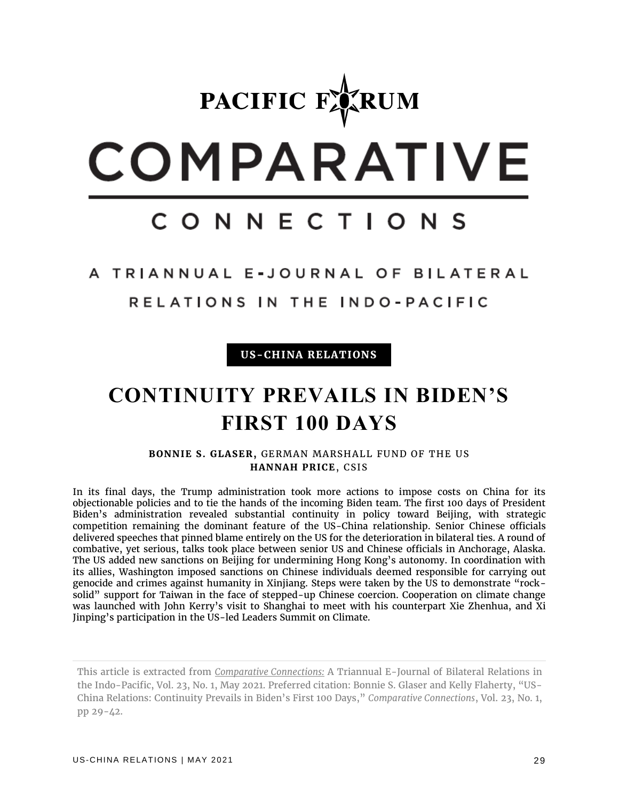# PACIFIC FARUM COMPARATIVE CONNECTIONS

A TRIANNUAL E-JOURNAL OF BILATERAL

RELATIONS IN THE INDO-PACIFIC

**US-CHINA RELATIONS**

## **CONTINUITY PREVAILS IN BIDEN'S FIRST 100 DAYS**

**BONNIE S. GLASER,** GERMAN MARSHALL FUND OF THE US **HANNAH PRICE**, CSIS

In its final days, the Trump administration took more actions to impose costs on China for its objectionable policies and to tie the hands of the incoming Biden team. The first 100 days of President Biden's administration revealed substantial continuity in policy toward Beijing, with strategic competition remaining the dominant feature of the US-China relationship. Senior Chinese officials delivered speeches that pinned blame entirely on the US for the deterioration in bilateral ties. A round of combative, yet serious, talks took place between senior US and Chinese officials in Anchorage, Alaska. The US added new sanctions on Beijing for undermining Hong Kong's autonomy. In coordination with its allies, Washington imposed sanctions on Chinese individuals deemed responsible for carrying out genocide and crimes against humanity in Xinjiang. Steps were taken by the US to demonstrate "rocksolid" support for Taiwan in the face of stepped-up Chinese coercion. Cooperation on climate change was launched with John Kerry's visit to Shanghai to meet with his counterpart Xie Zhenhua, and Xi Jinping's participation in the US-led Leaders Summit on Climate.

This article is extracted from *Comparative Connections:* A Triannual E-Journal of Bilateral Relations in the Indo-Pacific, Vol. 23, No. 1, May 2021. Preferred citation: Bonnie S. Glaser and Kelly Flaherty, "US-China Relations: Continuity Prevails in Biden's First 100 Days," *Comparative Connections*, Vol. 23, No. 1, pp 29-42.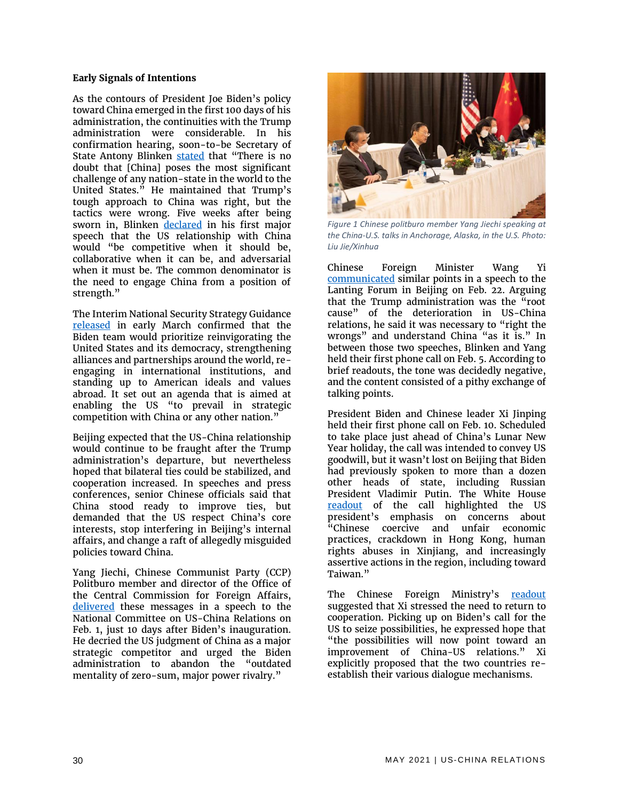#### **Early Signals of Intentions**

As the contours of President Joe Biden's policy toward China emerged in the first 100 days of his administration, the continuities with the Trump administration were considerable. In his confirmation hearing, soon-to-be Secretary of State Antony Blinken [stated](https://www.straitstimes.com/world/united-states/us-secretary-of-state-nominee-anthony-blinken-sees-strong-foundation-for) that "There is no doubt that [China] poses the most significant challenge of any nation-state in the world to the United States." He maintained that Trump's tough approach to China was right, but the tactics were wrong. Five weeks after being sworn in, Blinken [declared](https://www.state.gov/a-foreign-policy-for-the-american-people/) in his first major speech that the US relationship with China would "be competitive when it should be, collaborative when it can be, and adversarial when it must be. The common denominator is the need to engage China from a position of strength."

The Interim National Security Strategy Guidance [released](https://www.whitehouse.gov/wp-content/uploads/2021/03/NSC-1v2.pdf) in early March confirmed that the Biden team would prioritize reinvigorating the United States and its democracy, strengthening alliances and partnerships around the world, reengaging in international institutions, and standing up to American ideals and values abroad. It set out an agenda that is aimed at enabling the US "to prevail in strategic competition with China or any other nation."

Beijing expected that the US-China relationship would continue to be fraught after the Trump administration's departure, but nevertheless hoped that bilateral ties could be stabilized, and cooperation increased. In speeches and press conferences, senior Chinese officials said that China stood ready to improve ties, but demanded that the US respect China's core interests, stop interfering in Beijing's internal affairs, and change a raft of allegedly misguided policies toward China.

Yang Jiechi, Chinese Communist Party (CCP) Politburo member and director of the Office of the Central Commission for Foreign Affairs, [delivered](https://www.ncuscr.org/yang-jiechi-event-transcript) these messages in a speech to the National Committee on US-China Relations on Feb. 1, just 10 days after Biden's inauguration. He decried the US judgment of China as a major strategic competitor and urged the Biden administration to abandon the "outdated mentality of zero-sum, major power rivalry."



*Figure 1 Chinese politburo member Yang Jiechi speaking at the China-U.S. talks in Anchorage, Alaska, in the U.S. Photo: Liu Jie/Xinhua*

Chinese Foreign Minister Wang Yi [communicated](https://news.cgtn.com/news/2021-02-22/Full-Text-Wang-Yi-s-speech-on-China-U-S-relations-Y5qf47Wo36/index.html) similar points in a speech to the Lanting Forum in Beijing on Feb. 22. Arguing that the Trump administration was the "root cause" of the deterioration in US-China relations, he said it was necessary to "right the wrongs" and understand China "as it is." In between those two speeches, Blinken and Yang held their first phone call on Feb. 5. According to brief readouts, the tone was decidedly negative, and the content consisted of a pithy exchange of talking points.

President Biden and Chinese leader Xi Jinping held their first phone call on Feb. 10. Scheduled to take place just ahead of China's Lunar New Year holiday, the call was intended to convey US goodwill, but it wasn't lost on Beijing that Biden had previously spoken to more than a dozen other heads of state, including Russian President Vladimir Putin. The White House [readout](https://www.whitehouse.gov/briefing-room/statements-releases/2021/02/10/readout-of-president-joseph-r-biden-jr-call-with-president-xi-jinping-of-china/) of the call highlighted the US president's emphasis on concerns about "Chinese coercive and unfair economic practices, crackdown in Hong Kong, human rights abuses in Xinjiang, and increasingly assertive actions in the region, including toward Taiwan."

The Chinese Foreign Ministry's [readout](https://www.fmprc.gov.cn/mfa_eng/zxxx_662805/t1853684.shtml) suggested that Xi stressed the need to return to cooperation. Picking up on Biden's call for the US to seize possibilities, he expressed hope that "the possibilities will now point toward an improvement of China-US relations." Xi explicitly proposed that the two countries reestablish their various dialogue mechanisms.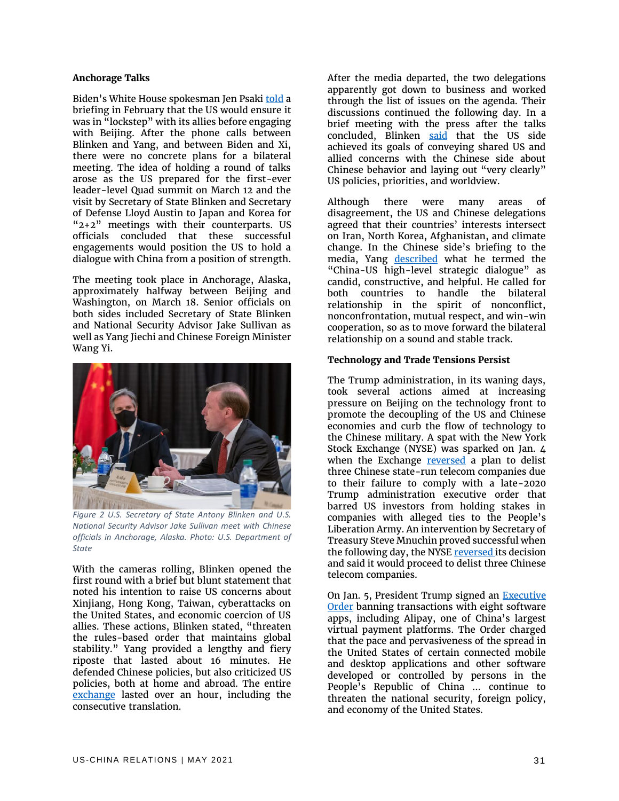#### **Anchorage Talks**

Biden's White House spokesman Jen Psaki [told](https://www.reuters.com/article/us-usa-china-taiwan/biden-administration-indicates-in-no-hurry-to-engage-china-idUSKBN2A22QV) a briefing in February that the US would ensure it was in "lockstep" with its allies before engaging with Beijing. After the phone calls between Blinken and Yang, and between Biden and Xi, there were no concrete plans for a bilateral meeting. The idea of holding a round of talks arose as the US prepared for the first-ever leader-level Quad summit on March 12 and the visit by Secretary of State Blinken and Secretary of Defense Lloyd Austin to Japan and Korea for "2+2" meetings with their counterparts. US officials concluded that these successful engagements would position the US to hold a dialogue with China from a position of strength.

The meeting took place in Anchorage, Alaska, approximately halfway between Beijing and Washington, on March 18. Senior officials on both sides included Secretary of State Blinken and National Security Advisor Jake Sullivan as well as Yang Jiechi and Chinese Foreign Minister Wang Yi.



*Figure 2 U.S. Secretary of State Antony Blinken and U.S. National Security Advisor Jake Sullivan meet with Chinese officials in Anchorage, Alaska. Photo: U.S. Department of State*

With the cameras rolling, Blinken opened the first round with a brief but blunt statement that noted his intention to raise US concerns about Xinjiang, Hong Kong, Taiwan, cyberattacks on the United States, and economic coercion of US allies. These actions, Blinken stated, "threaten the rules-based order that maintains global stability." Yang provided a lengthy and fiery riposte that lasted about 16 minutes. He defended Chinese policies, but also criticized US policies, both at home and abroad. The entire [exchange](https://asia.nikkei.com/Politics/International-relations/US-China-tensions/How-it-happened-Transcript-of-the-US-China-opening-remarks-in-Alaska) lasted over an hour, including the consecutive translation.

After the media departed, the two delegations apparently got down to business and worked through the list of issues on the agenda. Their discussions continued the following day. In a brief meeting with the press after the talks concluded, Blinken [said](https://www.state.gov/secretary-antony-j-blinken-and-national-security-advisor-jake-sullivan-statements-to-the-press/) that the US side achieved its goals of conveying shared US and allied concerns with the Chinese side about Chinese behavior and laying out "very clearly" US policies, priorities, and worldview.

Although there were many areas of disagreement, the US and Chinese delegations agreed that their countries' interests intersect on Iran, North Korea, Afghanistan, and climate change. In the Chinese side's briefing to the media, Yang [described](http://www.xinhuanet.com/english/2021-03/20/c_139822732.htm) what he termed the "China-US high-level strategic dialogue" as candid, constructive, and helpful. He called for both countries to handle the bilateral relationship in the spirit of nonconflict, nonconfrontation, mutual respect, and win-win cooperation, so as to move forward the bilateral relationship on a sound and stable track.

#### **Technology and Trade Tensions Persist**

The Trump administration, in its waning days, took several actions aimed at increasing pressure on Beijing on the technology front to promote the decoupling of the US and Chinese economies and curb the flow of technology to the Chinese military. A spat with the New York Stock Exchange (NYSE) was sparked on Jan. 4 when the Exchange [reversed](https://www.cnn.com/2021/01/04/investing/nyse-china-telecom-intl-hnk/index.html) a plan to delist three Chinese state-run telecom companies due to their failure to comply with a late-2020 Trump administration executive order that barred US investors from holding stakes in companies with alleged ties to the People's Liberation Army. An intervention by Secretary of Treasury Steve Mnuchin proved successful when the following day, the NYS[E reversed i](https://ir.theice.com/press/news-details/2021/NYSE-Announces-Suspension-Date-for-Securities-of-Three-Issuers-and-Proceeds-with-Delisting/default.aspx)ts decision and said it would proceed to delist three Chinese telecom companies.

On Jan. 5, President Trump signed an [Executive](https://trumpwhitehouse.archives.gov/presidential-actions/executive-order-addressing-threat-posed-applications-software-developed-controlled-chinese-companies/)  **[Order](https://trumpwhitehouse.archives.gov/presidential-actions/executive-order-addressing-threat-posed-applications-software-developed-controlled-chinese-companies/) banning transactions with eight software** apps, including Alipay, one of China's largest virtual payment platforms. The Order charged that the pace and pervasiveness of the spread in the United States of certain connected mobile and desktop applications and other software developed or controlled by persons in the People's Republic of China ... continue to threaten the national security, foreign policy, and economy of the United States.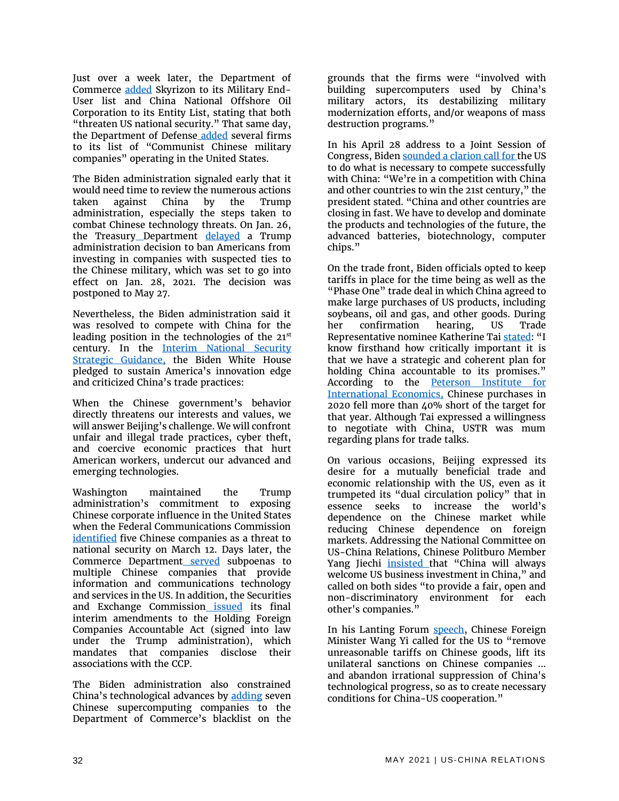Just over a week later, the Department of Commerce [added](https://ua.usembassy.gov/chinas-skyrizon-added-to-u-s-commerce-department-military-end-user-list/) Skyrizon to its Military End-User list and China National Offshore Oil Corporation to its Entity List, stating that both "threaten US national security." That same day, the Department of Defens[e](https://www.defense.gov/Newsroom/Releases/Release/Article/2472464/dod-releases-list-of-additional-companies-in-accordance-with-section-1237-of-fy/) [added](https://www.defense.gov/Newsroom/Releases/Release/Article/2472464/dod-releases-list-of-additional-companies-in-accordance-with-section-1237-of-fy/) several firms to its list of "Communist Chinese military companies" operating in the United States.

The Biden administration signaled early that it would need time to review the numerous actions taken against China by the Trump administration, especially the steps taken to combat Chinese technology threats. On Jan. 26, the Treasury\_[D](https://home.treasury.gov/system/files/126/ccmc_gl1a_01272021_1.pdf)epartment [delayed](https://home.treasury.gov/system/files/126/ccmc_gl1a_01272021_1.pdf) a Trump administration decision to ban Americans from investing in companies with suspected ties to the Chinese military, which was set to go into effect on Jan. 28, 2021. The decision was postponed to May 27.

Nevertheless, the Biden administration said it was resolved to compete with China for the leading position in the technologies of the  $21<sup>st</sup>$ century. In the [Interim National Security](https://www.whitehouse.gov/briefing-room/statements-releases/2021/03/03/interim-national-security-strategic-guidance/)  [Strategic Guidance,](https://www.whitehouse.gov/briefing-room/statements-releases/2021/03/03/interim-national-security-strategic-guidance/) the Biden White House pledged to sustain America's innovation edge and criticized China's trade practices:

When the Chinese government's behavior directly threatens our interests and values, we will answer Beijing's challenge. We will confront unfair and illegal trade practices, cyber theft, and coercive economic practices that hurt American workers, undercut our advanced and emerging technologies.

Washington maintained the Trump administration's commitment to exposing Chinese corporate influence in the United States when the Federal Communications Commission [identified](https://www.fcc.gov/document/fcc-releases-list-equipment-services-pose-security-threat) five Chinese companies as a threat to national security on March 12. Days later, the Commerce Depar[t](https://www.commerce.gov/news/press-releases/2021/03/us-secretary-commerce-gina-raimondo-statement-actions-taken-under-icts)ment [served](https://www.commerce.gov/news/press-releases/2021/03/us-secretary-commerce-gina-raimondo-statement-actions-taken-under-icts) subpoenas to multiple Chinese companies that provide information and communications technology and services in the US. In addition, the Securities a[n](https://www.sec.gov/news/press-release/2021-53)d Exchange Commission [issued](https://www.sec.gov/news/press-release/2021-53) its final interim amendments to the Holding Foreign Companies Accountable Act (signed into law under the Trump administration), which mandates that companies disclose their associations with the CCP.

The Biden administration also constrained China's technological advances by [adding](https://www.commerce.gov/news/press-releases/2021/04/commerce-adds-seven-chinese-supercomputing-entities-entity-list-their) seven Chinese supercomputing companies to the Department of Commerce's blacklist on the

grounds that the firms were "involved with building supercomputers used by China's military actors, its destabilizing military modernization efforts, and/or weapons of mass destruction programs."

In his April 28 address to a Joint Session of Congress, Bide[n sounded a clarion call for t](https://www.usatoday.com/story/news/politics/2021/04/28/joe-bidens-speech-congress-read-full-transcript/4883244001/)he US to do what is necessary to compete successfully with China: "We're in a competition with China and other countries to win the 21st century," the president stated. "China and other countries are closing in fast. We have to develop and dominate the products and technologies of the future, the advanced batteries, biotechnology, computer chips."

On the trade front, Biden officials opted to keep tariffs in place for the time being as well as the "Phase One" trade deal in which China agreed to make large purchases of US products, including soybeans, oil and gas, and other goods. During her confirmation hearing, US Trade Representative nominee Katherine Tai [stated](https://ustr.gov/about-us/policy-offices/press-office/press-releases/2021/february/opening-statement-ambassador-designate-katherine-tai-senate-finance-committee): "I know firsthand how critically important it is that we have a strategic and coherent plan for holding China accountable to its promises." According to the [Peterson Institute for](https://www.piie.com/blogs/trade-and-investment-policy-watch/anatomy-flop-why-trumps-us-china-phase-one-trade-deal-fell)  [International Economics,](https://www.piie.com/blogs/trade-and-investment-policy-watch/anatomy-flop-why-trumps-us-china-phase-one-trade-deal-fell) Chinese purchases in 2020 fell more than 40% short of the target for that year. Although Tai expressed a willingness to negotiate with China, USTR was mum regarding plans for trade talks.

On various occasions, Beijing expressed its desire for a mutually beneficial trade and economic relationship with the US, even as it trumpeted its "dual circulation policy" that in essence seeks to increase the world's dependence on the Chinese market while reducing Chinese dependence on foreign markets. Addressing the National Committee on US-China Relations, Chinese Politburo Member Yang Jiechi *insisted* that "China will always welcome US business investment in China," and called on both sides "to provide a fair, open and non-discriminatory environment for each other's companies."

In his Lanting Forum **speech**, Chinese Foreign Minister Wang Yi called for the US to "remove unreasonable tariffs on Chinese goods, lift its unilateral sanctions on Chinese companies ... and abandon irrational suppression of China's technological progress, so as to create necessary conditions for China-US cooperation."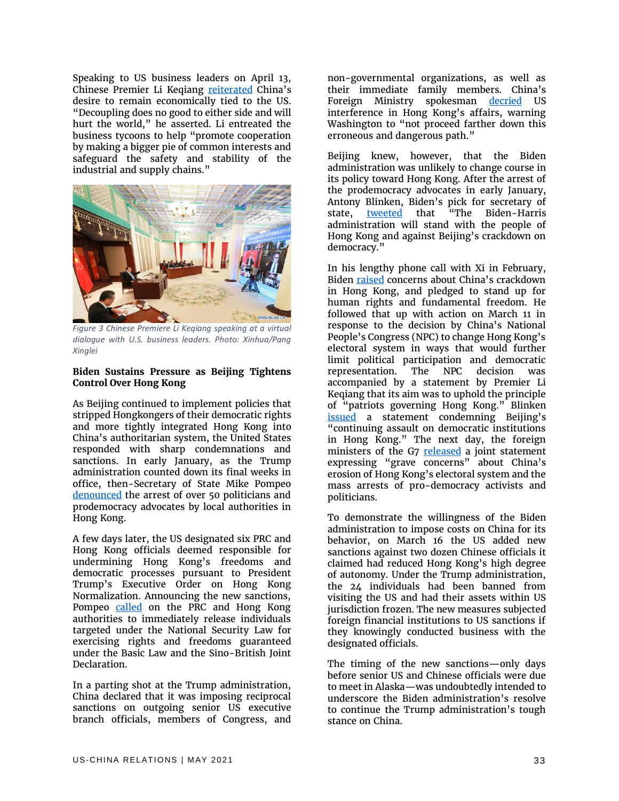Speaking to US business leaders on April 13, Chinese Premier Li Keqiang [reiterated](https://www.fmprc.gov.cn/mfa_eng/zxxx_662805/t1868874.shtml) China's desire to remain economically tied to the US. "Decoupling does no good to either side and will hurt the world," he asserted. Li entreated the business tycoons to help "promote cooperation by making a bigger pie of common interests and safeguard the safety and stability of the industrial and supply chains."



*Figure 3 Chinese Premiere Li Keqiang speaking at a virtual dialogue with U.S. business leaders. Photo: Xinhua/Pang Xinglei*

#### **Biden Sustains Pressure as Beijing Tightens Control Over Hong Kong**

As Beijing continued to implement policies that stripped Hongkongers of their democratic rights and more tightly integrated Hong Kong into China's authoritarian system, the United States responded with sharp condemnations and sanctions. In early January, as the Trump administration counted down its final weeks in office, then-Secretary of State Mike Pompeo [denounced](https://2017-2021.state.gov/on-the-mass-arrests-of-democracy-advocates-in-hong-kong/index.html) the arrest of over 50 politicians and prodemocracy advocates by local authorities in Hong Kong.

A few days later, the US designated six PRC and Hong Kong officials deemed responsible for undermining Hong Kong's freedoms and democratic processes pursuant to President Trump's Executive Order on Hong Kong Normalization. Announcing the new sanctions, Pompeo [called](https://2017-2021.state.gov/designating-prc-and-hong-kong-officials-after-widespread-pro-democracy-arrests-in-hong-kong/index.html) on the PRC and Hong Kong authorities to immediately release individuals targeted under the National Security Law for exercising rights and freedoms guaranteed under the Basic Law and the Sino-British Joint Declaration.

In a parting shot at the Trump administration, China declared that it was imposing reciprocal sanctions on outgoing senior US executive branch officials, members of Congress, and

non-governmental organizations, as well as their immediate family members. China's Foreign Ministry spokesman [decried](http://www.xinhuanet.com/english/2021-01/18/c_139677746.htm) US interference in Hong Kong's affairs, warning Washington to "not proceed farther down this erroneous and dangerous path."

Beijing knew, however, that the Biden administration was unlikely to change course in its policy toward Hong Kong. After the arrest of the prodemocracy advocates in early January, Antony Blinken, Biden's pick for secretary of state, [tweeted](https://twitter.com/ablinken/status/1346663418946859010?lang=en) that "The Biden-Harris administration will stand with the people of Hong Kong and against Beijing's crackdown on democracy."

In his lengthy phone call with Xi in February, Biden [raised](https://www.whitehouse.gov/briefing-room/statements-releases/2021/02/10/readout-of-president-joseph-r-biden-jr-call-with-president-xi-jinping-of-china/) concerns about China's crackdown in Hong Kong, and pledged to stand up for human rights and fundamental freedom. He followed that up with action on March 11 in response to the decision by China's National People's Congress (NPC) to change Hong Kong's electoral system in ways that would further limit political participation and democratic representation. The NPC decision was accompanied by a statement by Premier Li Keqiang that its aim was to uphold the principle of "patriots governing Hong Kong." Blinken <u>[issued](https://www.state.gov/assault-on-democracy-in-hong-kong/)</u> a statement condemning Beijing's "continuing assault on democratic institutions in Hong Kong." The next day, the foreign ministers of the G7 [released](https://www.state.gov/g7-statement-on-hong-kong-electoral-changes/) a joint statement expressing "grave concerns" about China's erosion of Hong Kong's electoral system and the mass arrests of pro-democracy activists and politicians.

To demonstrate the willingness of the Biden administration to impose costs on China for its behavior, on March 16 the US added new sanctions against two dozen Chinese officials it claimed had reduced Hong Kong's high degree of autonomy. Under the Trump administration, the 24 individuals had been banned from visiting the US and had their assets within US jurisdiction frozen. The new measures subjected foreign financial institutions to US sanctions if they knowingly conducted business with the designated officials.

The timing of the new sanctions—only days before senior US and Chinese officials were due to meet in Alaska—was undoubtedly intended to underscore the Biden administration's resolve to continue the Trump administration's tough stance on China.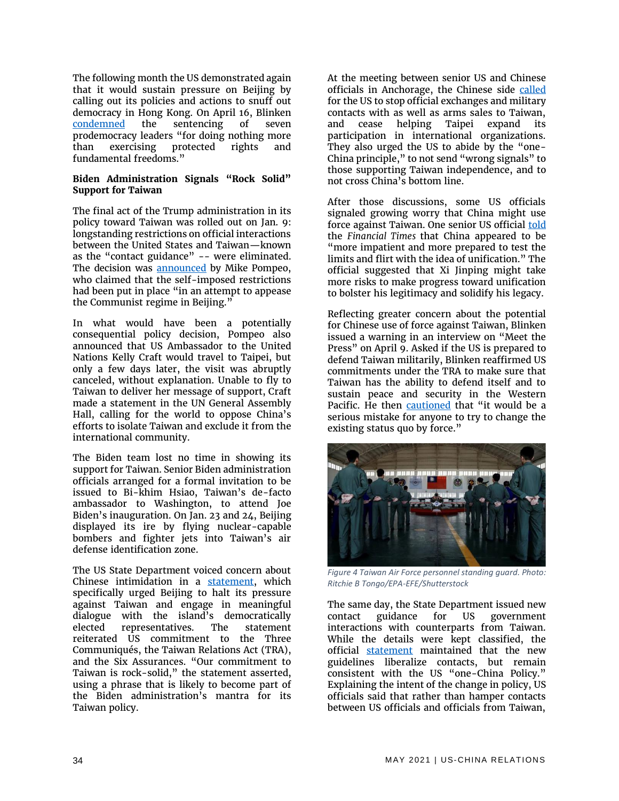The following month the US demonstrated again that it would sustain pressure on Beijing by calling out its policies and actions to snuff out democracy in Hong Kong. On April 16, Blinken [condemned](https://www.state.gov/sentencing-of-hong-kong-pro-democracy-activists-for-unlawful-assembly/) the sentencing of seven prodemocracy leaders "for doing nothing more than exercising protected rights and fundamental freedoms."

#### **Biden Administration Signals "Rock Solid" Support for Taiwan**

The final act of the Trump administration in its policy toward Taiwan was rolled out on Jan. 9: longstanding restrictions on official interactions between the United States and Taiwan—known as the "contact guidance" -- were eliminated. The decision was **announced** by Mike Pompeo, who claimed that the self-imposed restrictions had been put in place "in an attempt to appease the Communist regime in Beijing."

In what would have been a potentially consequential policy decision, Pompeo also announced that US Ambassador to the United Nations Kelly Craft would travel to Taipei, but only a few days later, the visit was abruptly canceled, without explanation. Unable to fly to Taiwan to deliver her message of support, Craft made a statement in the UN General Assembly Hall, calling for the world to oppose China's efforts to isolate Taiwan and exclude it from the international community.

The Biden team lost no time in showing its support for Taiwan. Senior Biden administration officials arranged for a formal invitation to be issued to Bi-khim Hsiao, Taiwan's de-facto ambassador to Washington, to attend Joe Biden's inauguration. On Jan. 23 and 24, Beijing displayed its ire by flying nuclear-capable bombers and fighter jets into Taiwan's air defense identification zone.

The US State Department voiced concern about Chinese intimidation in a [statement,](https://www.state.gov/prc-military-pressure-against-taiwan-threatens-regional-peace-and-stability/) which specifically urged Beijing to halt its pressure against Taiwan and engage in meaningful dialogue with the island's democratically elected representatives. The statement reiterated US commitment to the Three Communiqués, the Taiwan Relations Act (TRA), and the Six Assurances. "Our commitment to Taiwan is rock-solid," the statement asserted, using a phrase that is likely to become part of the Biden administration's mantra for its Taiwan policy.

At the meeting between senior US and Chinese officials in Anchorage, the Chinese side [called](https://www.fmprc.gov.cn/mfa_eng/zxxx_662805/t1862856.shtml) for the US to stop official exchanges and military contacts with as well as arms sales to Taiwan, and cease helping Taipei expand its participation in international organizations. They also urged the US to abide by the "one-China principle," to not send "wrong signals" to those supporting Taiwan independence, and to not cross China's bottom line.

After those discussions, some US officials signaled growing worry that China might use force against Taiwan. One senior US official [told](https://www.ft.com/content/3ed169b8-3f47-4f66-a914-58b6e2215f7d) the *Financial Times* that China appeared to be "more impatient and more prepared to test the limits and flirt with the idea of unification." The official suggested that Xi Jinping might take more risks to make progress toward unification to bolster his legitimacy and solidify his legacy.

Reflecting greater concern about the potential for Chinese use of force against Taiwan, Blinken issued a warning in an interview on "Meet the Press" on April 9. Asked if the US is prepared to defend Taiwan militarily, Blinken reaffirmed US commitments under the TRA to make sure that Taiwan has the ability to defend itself and to sustain peace and security in the Western Pacific. He then [cautioned](https://www.state.gov/secretary-antony-j-blinken-with-chuck-todd-of-nbcs-meet-the-press/) that "it would be a serious mistake for anyone to try to change the existing status quo by force."



*Figure 4 Taiwan Air Force personnel standing guard. Photo: Ritchie B Tongo/EPA-EFE/Shutterstock*

The same day, the State Department issued new contact guidance for US government interactions with counterparts from Taiwan. While the details were kept classified, the official [statement](https://www.state.gov/new-guidelines-for-u-s-government-interactions-with-taiwan-counterparts/) maintained that the new guidelines liberalize contacts, but remain consistent with the US "one-China Policy." Explaining the intent of the change in policy, US officials said that rather than hamper contacts between US officials and officials from Taiwan,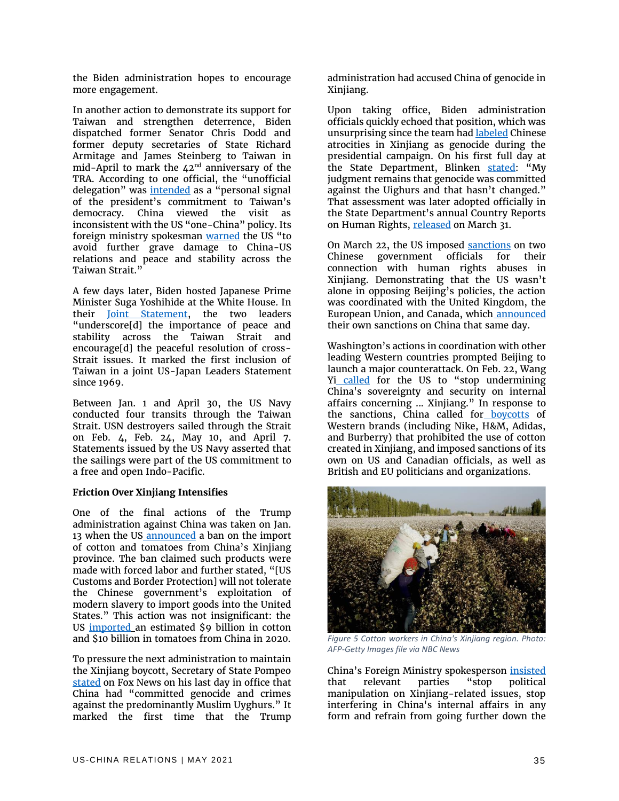the Biden administration hopes to encourage more engagement.

In another action to demonstrate its support for Taiwan and strengthen deterrence, Biden dispatched former Senator Chris Dodd and former deputy secretaries of State Richard Armitage and James Steinberg to Taiwan in mid-April to mark the  $42<sup>nd</sup>$  anniversary of the TRA. According to one official, the "unofficial delegation" was [intended](https://www.reuters.com/world/china/biden-sends-unofficial-delegation-taiwan-underscore-commitment-white-house-2021-04-13/) as a "personal signal of the president's commitment to Taiwan's democracy. China viewed the visit as inconsistent with the US "one-China" policy. Its foreign ministry spokesman [warned](https://www.foxnews.com/politics/china-enraged-biden-sends-unofficial-delegates-taiwan) the US "to avoid further grave damage to China-US relations and peace and stability across the Taiwan Strait."

A few days later, Biden hosted Japanese Prime Minister Suga Yoshihide at the White House. In their [Joint Statement,](https://www.whitehouse.gov/briefing-room/statements-releases/2021/04/16/u-s-japan-joint-leaders-statement-u-s-japan-global-partnership-for-a-new-era/) the two leaders "underscore[d] the importance of peace and stability across the Taiwan Strait and encourage[d] the peaceful resolution of cross-Strait issues. It marked the first inclusion of Taiwan in a joint US-Japan Leaders Statement since 1969.

Between Jan. 1 and April 30, the US Navy conducted four transits through the Taiwan Strait. USN destroyers sailed through the Strait on Feb. 4, Feb. 24, May 10, and April 7. Statements issued by the US Navy asserted that the sailings were part of the US commitment to a free and open Indo-Pacific.

#### **Friction Over Xinjiang Intensifies**

One of the final actions of the Trump administration against China was taken on Jan. 13 when the U[S](https://www.cbp.gov/newsroom/national-media-release/cbp-issues-region-wide-withhold-release-order-products-made-slave) [announced](https://www.cbp.gov/newsroom/national-media-release/cbp-issues-region-wide-withhold-release-order-products-made-slave) a ban on the import of cotton and tomatoes from China's Xinjiang province. The ban claimed such products were made with forced labor and further stated, "[US Customs and Border Protection] will not tolerate the Chinese government's exploitation of modern slavery to import goods into the United States." This action was not insignificant: the US [imported](https://www.reuters.com/article/us-usa-trade-china-xinjiang/u-s-bans-imports-of-all-cotton-tomato-products-from-chinas-xinjiang-region-idUSKBN29I2KO) an estimated \$9 billion in cotton and \$10 billion in tomatoes from China in 2020.

To pressure the next administration to maintain the Xinjiang boycott, Secretary of State Pompe[o](https://2017-2021.state.gov/secretary-michael-r-pompeo-with-john-roberts-of-fox-news-america-reports/index.html) [stated](https://2017-2021.state.gov/secretary-michael-r-pompeo-with-john-roberts-of-fox-news-america-reports/index.html) on Fox News on his last day in office that China had "committed genocide and crimes against the predominantly Muslim Uyghurs." It marked the first time that the Trump

administration had accused China of genocide in Xinjiang.

Upon taking office, Biden administration officials quickly echoed that position, which was unsurprising since the team ha[d labeled](https://www.axios.com/biden-campaign-china-uighur-genocide-3ad857a7-abfe-4b16-813d-7f074a8a04ba.html) Chinese atrocities in Xinjiang as genocide during the presidential campaign. On his first full day at the State Department, Blinken [stated](https://www.reuters.com/article/us-usa-china-blinken/new-u-s-secretary-of-state-favors-cooperation-with-china-despite-genocide-of-uighurs-idUSKBN29W2RC): "My judgment remains that genocide was committed against the Uighurs and that hasn't changed." That assessment was later adopted officially in the State Department's annual Country Reports on Human Rights, [released](https://www.state.gov/reports/2020-country-reports-on-human-rights-practices/china/) on March 31.

On March 22, the US imposed [sanctions](https://home.treasury.gov/news/press-releases/jy0070) on two Chinese government officials for their connection with human rights abuses in Xinjiang. Demonstrating that the US wasn't alone in opposing Beijing's policies, the action was coordinated with the United Kingdom, the European Union, and Canada, whic[h](https://www.gov.uk/government/news/uk-sanctions-perpetrators-of-gross-human-rights-violations-in-xinjiang-alongside-eu-canada-and-us) [announced](https://www.gov.uk/government/news/uk-sanctions-perpetrators-of-gross-human-rights-violations-in-xinjiang-alongside-eu-canada-and-us) their own sanctions on China that same day.

Washington's actions in coordination with other leading Western countries prompted Beijing to launch a major counterattack. On Feb. 22, Wang Yi [called](https://www.fmprc.gov.cn/mfa_eng/wjdt_665385/zyjh_665391/t1855510.shtml) for the US to "stop undermining China's sovereignty and security on internal affairs concerning ... Xinjiang." In response to the sanctions, China called fo[r](https://www.bbc.com/news/world-asia-china-56533560) [boycotts](https://www.bbc.com/news/world-asia-china-56533560) of Western brands (including Nike, H&M, Adidas, and Burberry) that prohibited the use of cotton created in Xinjiang, and imposed sanctions of its own on US and Canadian officials, as well as British and EU politicians and organizations.



*Figure 5 Cotton workers in China's Xinjiang region. Photo: AFP-Getty Images file via NBC News*

China's Foreign Ministry spokesperson [insisted](https://www.fmprc.gov.cn/mfa_eng/xwfw_665399/s2510_665401/t1864787.shtml) that relevant parties "stop political manipulation on Xinjiang-related issues, stop interfering in China's internal affairs in any form and refrain from going further down the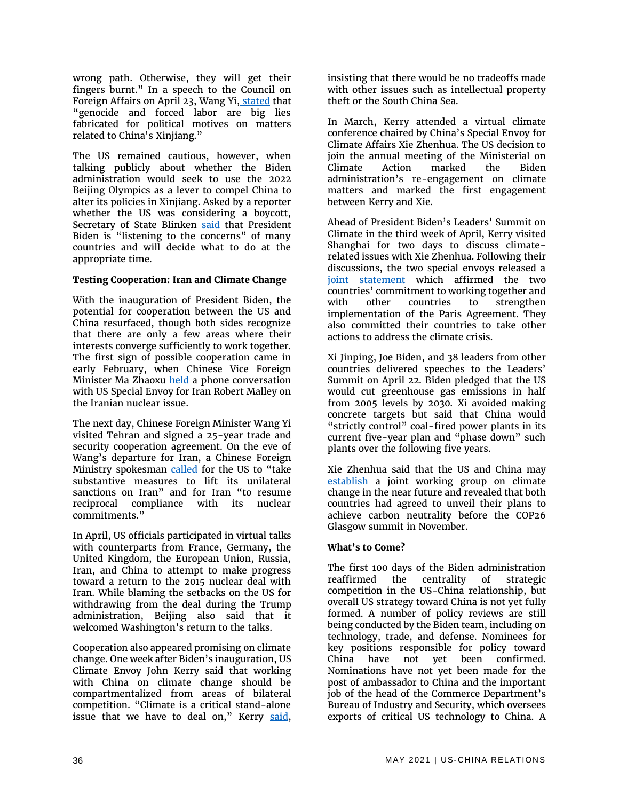wrong path. Otherwise, they will get their fingers burnt." In a speech to the Council on Foreign Affairs on April 23, Wang Yi[,](http://english.www.gov.cn/statecouncil/wangyi/202104/24/content_WS608370a3c6d0df57f98d87d5.html) [stated](http://english.www.gov.cn/statecouncil/wangyi/202104/24/content_WS608370a3c6d0df57f98d87d5.html) that "genocide and forced labor are big lies fabricated for political motives on matters related to China's Xinjiang."

The US remained cautious, however, when talking publicly about whether the Biden administration would seek to use the 2022 Beijing Olympics as a lever to compel China to alter its policies in Xinjiang. Asked by a reporter whether the US was considering a boycott, Secretary of State Bli[n](https://www.washingtonexaminer.com/policy/defense-national-security/blinken-boycott-china-olympics)ken [said](https://www.washingtonexaminer.com/policy/defense-national-security/blinken-boycott-china-olympics) that President Biden is "listening to the concerns" of many countries and will decide what to do at the appropriate time.

#### **Testing Cooperation: Iran and Climate Change**

With the inauguration of President Biden, the potential for cooperation between the US and China resurfaced, though both sides recognize that there are only a few areas where their interests converge sufficiently to work together. The first sign of possible cooperation came in early February, when Chinese Vice Foreign Minister Ma Zhaoxu [held](https://www.fmprc.gov.cn/mfa_eng/wjbxw/t1853795.shtml) a phone conversation with US Special Envoy for Iran Robert Malley on the Iranian nuclear issue.

The next day, Chinese Foreign Minister Wang Yi visited Tehran and signed a 25-year trade and security cooperation agreement. On the eve of Wang's departure for Iran, a Chinese Foreign Ministry spokesman [called](https://www.newsweek.com/us-pressures-china-iran-move-closer-deal-1579144) for the US to "take substantive measures to lift its unilateral sanctions on Iran" and for Iran "to resume reciprocal compliance with its nuclear commitments."

In April, US officials participated in virtual talks with counterparts from France, Germany, the United Kingdom, the European Union, Russia, Iran, and China to attempt to make progress toward a return to the 2015 nuclear deal with Iran. While blaming the setbacks on the US for withdrawing from the deal during the Trump administration, Beijing also said that it welcomed Washington's return to the talks.

Cooperation also appeared promising on climate change. One week after Biden's inauguration, US Climate Envoy John Kerry said that working with China on climate change should be compartmentalized from areas of bilateral competition. "Climate is a critical stand-alone issue that we have to deal on," Kerry [said,](https://www.axios.com/john-kerry-china-climate-9c2f3a13-9c6f-46ef-a63e-26a8962059af.html)

insisting that there would be no tradeoffs made with other issues such as intellectual property theft or the South China Sea.

In March, Kerry attended a virtual climate conference chaired by China's Special Envoy for Climate Affairs Xie Zhenhua. The US decision to join the annual meeting of the Ministerial on Climate Action marked the Biden administration's re-engagement on climate matters and marked the first engagement between Kerry and Xie.

Ahead of President Biden's Leaders' Summit on Climate in the third week of April, Kerry visited Shanghai for two days to discuss climaterelated issues with Xie Zhenhua. Following their discussions, the two special envoys released a [joint statement](https://www.state.gov/u-s-china-joint-statement-addressing-the-climate-crisis/) which affirmed the two countries' commitment to working together and with other countries to strengthen implementation of the Paris Agreement. They also committed their countries to take other actions to address the climate crisis.

Xi Jinping, Joe Biden, and 38 leaders from other countries delivered speeches to the Leaders' Summit on April 22. Biden pledged that the US would cut greenhouse gas emissions in half from 2005 levels by 2030. Xi avoided making concrete targets but said that China would "strictly control" coal-fired power plants in its current five-year plan and "phase down" such plants over the following five years.

Xie Zhenhua said that the US and China may [establish](https://www.scmp.com/news/china/diplomacy/article/3130788/they-pledged-work-together-china-and-us-disagree-division) a joint working group on climate change in the near future and revealed that both countries had agreed to unveil their plans to achieve carbon neutrality before the COP26 Glasgow summit in November.

#### **What's to Come?**

The first 100 days of the Biden administration reaffirmed the centrality of strategic competition in the US-China relationship, but overall US strategy toward China is not yet fully formed. A number of policy reviews are still being conducted by the Biden team, including on technology, trade, and defense. Nominees for key positions responsible for policy toward China have not yet been confirmed. Nominations have not yet been made for the post of ambassador to China and the important job of the head of the Commerce Department's Bureau of Industry and Security, which oversees exports of critical US technology to China. A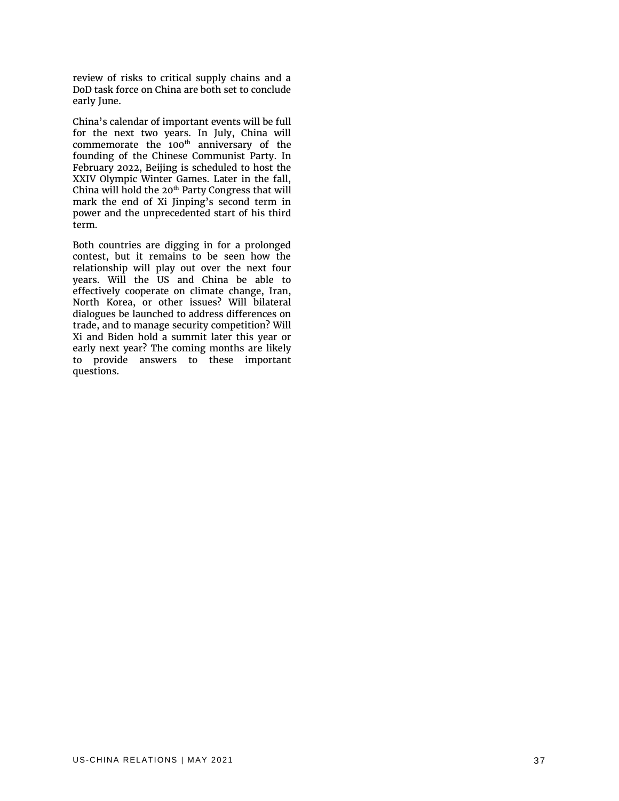review of risks to critical supply chains and a DoD task force on China are both set to conclude early June.

China's calendar of important events will be full for the next two years. In July, China will commemorate the 100 $^{\text{th}}$  anniversary of the founding of the Chinese Communist Party. In February 2022, Beijing is scheduled to host the XXIV Olympic Winter Games. Later in the fall, China will hold the  $20<sup>th</sup>$  Party Congress that will mark the end of Xi Jinping's second term in power and the unprecedented start of his third term.

Both countries are digging in for a prolonged contest, but it remains to be seen how the relationship will play out over the next four years. Will the US and China be able to effectively cooperate on climate change, Iran, North Korea, or other issues? Will bilateral dialogues be launched to address differences on trade, and to manage security competition? Will Xi and Biden hold a summit later this year or early next year? The coming months are likely to provide answers to these important questions.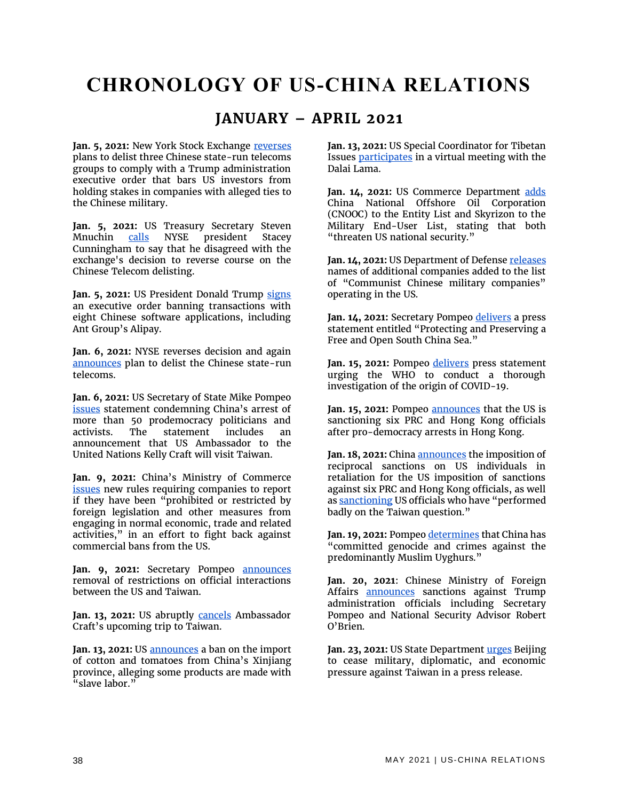### **CHRONOLOGY OF US-CHINA RELATIONS**

#### **JANUARY – APRIL 2021**

**Jan. 5, 2021:** New York Stock Exchange [reverses](https://www.cnn.com/2021/01/04/investing/nyse-china-telecom-intl-hnk/index.html) plans to delist three Chinese state-run telecoms groups to comply with a Trump administration executive order that bars US investors from holding stakes in companies with alleged ties to the Chinese military.

Jan. 5, 2021: US Treasury Secretary Steven Mnuchin [calls](https://www.nasdaq.com/articles/mnuchin-tells-nyse-chief-he-disagrees-with-reversal-of-chinese-delisting-plans-source-2021) NYSE president Stacey Cunningham to say that he disagreed with the exchange's decision to reverse course on the Chinese Telecom delisting.

Jan. 5, 2021: US President Donald Trump [signs](https://trumpwhitehouse.archives.gov/presidential-actions/executive-order-addressing-threat-posed-applications-software-developed-controlled-chinese-companies/) an executive order banning transactions with eight Chinese software applications, including Ant Group's Alipay.

**Jan. 6, 2021:** NYSE reverses decision and again [announces](https://ir.theice.com/press/news-details/2021/NYSE-Announces-Suspension-Date-for-Securities-of-Three-Issuers-and-Proceeds-with-Delisting/default.aspx) plan to delist the Chinese state-run telecoms.

**Jan. 6, 2021:** US Secretary of State Mike Pompeo [issues](https://2017-2021.state.gov/on-the-mass-arrests-of-democracy-advocates-in-hong-kong/index.html) statement condemning China's arrest of more than 50 prodemocracy politicians and activists. The statement includes an announcement that US Ambassador to the United Nations Kelly Craft will visit Taiwan.

**Jan. 9, 2021:** China's Ministry of Commerce [issues](http://english.mofcom.gov.cn/article/policyrelease/announcement/202101/20210103029708.shtml) new rules requiring companies to report if they have been "prohibited or restricted by foreign legislation and other measures from engaging in normal economic, trade and related activities," in an effort to fight back against commercial bans from the US.

Jan. 9, 2021: Secretary Pompeo **[announces](https://www.reuters.com/article/us-usa-taiwan-diplomacy/pompeo-lifts-restrictions-on-u-s-taiwan-relationship-as-clock-runs-out-on-trump-administration-idUSKBN29E0Q6)** removal of restrictions on official interactions between the US and Taiwan.

**Jan. 13, 2021:** US abruptly [cancels](https://www.bbc.com/news/world-asia-55642578) Ambassador Craft's upcoming trip to Taiwan.

Jan. 13, 2021: US **announces** a ban on the import of cotton and tomatoes from China's Xinjiang province, alleging some products are made with "slave labor."

**Jan. 13, 2021:** US Special Coordinator for Tibetan Issues [participates](https://www.rfa.org/english/news/tibet/meeting-01132021193143.html) in a virtual meeting with the Dalai Lama.

Jan. 14, 2021: US Commerce Department [adds](https://www.federalregister.gov/documents/2021/01/15/2021-00995/addition-of-entity-to-the-entity-list-and-addition-of-entity-to-the-military-end-user-meu-list-and) China National Offshore Oil Corporation (CNOOC) to the Entity List and Skyrizon to the Military End-User List, stating that both "threaten US national security."

Jan. 14, 2021: US Department of Defense [releases](https://www.defense.gov/Newsroom/Releases/Release/Article/2472464/dod-releases-list-of-additional-companies-in-accordance-with-section-1237-of-fy/) names of additional companies added to the list of "Communist Chinese military companies" operating in the US.

Jan. 14, 2021: Secretary Pompeo [delivers](https://2017-2021.state.gov/protecting-and-preserving-a-free-and-open-south-china-sea/index.html) a press statement entitled "Protecting and Preserving a Free and Open South China Sea."

Jan. 15, 2021: Pompeo [delivers](https://2017-2021.state.gov/ensuring-a-transparent-thorough-investigation-of-covid-19s-origin/index.html) press statement urging the WHO to conduct a thorough investigation of the origin of COVID-19.

**Jan. 15, 2021:** Pompeo [announces](https://2017-2021.state.gov/designating-prc-and-hong-kong-officials-after-widespread-pro-democracy-arrests-in-hong-kong/index.html) that the US is sanctioning six PRC and Hong Kong officials after pro-democracy arrests in Hong Kong.

Jan. 18, 2021: China **announces** the imposition of reciprocal sanctions on US individuals in retaliation for the US imposition of sanctions against six PRC and Hong Kong officials, as well a[s sanctioning](http://eng.chinamil.com.cn/view/2021-01/18/content_9969661.htm) US officials who have "performed badly on the Taiwan question."

Jan. 19, 2021: Pompe[o determines](https://2017-2021.state.gov/secretary-michael-r-pompeo-with-john-roberts-of-fox-news-america-reports/index.html) that China has "committed genocide and crimes against the predominantly Muslim Uyghurs."

**Jan. 20, 2021**: Chinese Ministry of Foreign Affairs [announces](https://www.fmprc.gov.cn/mfa_eng/xwfw_665399/s2510_665401/t1847554.shtml) sanctions against Trump administration officials including Secretary Pompeo and National Security Advisor Robert O'Brien.

Jan. 23, 2021: US State Departmen[t urges](https://www.state.gov/prc-military-pressure-against-taiwan-threatens-regional-peace-and-stability/) Beijing to cease military, diplomatic, and economic pressure against Taiwan in a press release.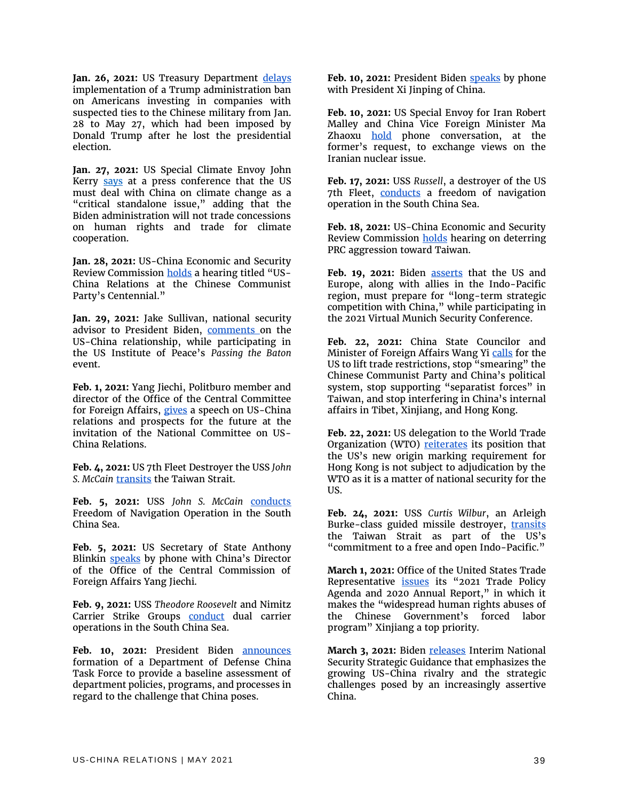Jan. 26, 2021: US Treasury Department [delays](https://home.treasury.gov/system/files/126/ccmc_gl1a_01272021_1.pdf) implementation of a Trump administration ban on Americans investing in companies with suspected ties to the Chinese military from Jan. 28 to May 27, which had been imposed by Donald Trump after he lost the presidential election.

**Jan. 27, 2021:** US Special Climate Envoy John Kerry [says](https://www.axios.com/john-kerry-china-climate-9c2f3a13-9c6f-46ef-a63e-26a8962059af.html) at a press conference that the US must deal with China on climate change as a "critical standalone issue," adding that the Biden administration will not trade concessions on human rights and trade for climate cooperation.

**Jan. 28, 2021:** US-China Economic and Security Review Commission [holds](https://www.uscc.gov/hearings/us-china-relations-chinese-communist-partys-centennial) a hearing titled "US-China Relations at the Chinese Communist Party's Centennial."

**Jan. 29, 2021:** Jake Sullivan, national security advisor to President Biden, [comments](https://www.usip.org/events/passing-baton-2021-securing-americas-future-together) on the US-China relationship, while participating in the US Institute of Peace's *Passing the Baton* event.

**Feb. 1, 2021:** Yang Jiechi, Politburo member and director of the Office of the Central Committee for Foreign Affairs, [gives](https://www.ncuscr.org/yang-jiechi-event-transcript) a speech on US-China relations and prospects for the future at the invitation of the National Committee on US-China Relations.

**Feb. 4, 2021:** US 7th Fleet Destroyer the USS *John*  **S. McCain [transits](https://www.navy.mil/Press-Office/News-Stories/Article/2492930/7th-fleet-destroyer-transits-taiwan-strait/) the Taiwan Strait.** 

**Feb. 5, 2021:** USS *John S. McCain* [conducts](https://www.c7f.navy.mil/Media/News/Display/Article/2494240/7th-fleet-destroyer-conducts-freedom-of-navigation-operation-in-south-china-sea/) Freedom of Navigation Operation in the South China Sea.

**Feb. 5, 2021:** US Secretary of State Anthony Blinkin [speaks](https://www.state.gov/secretary-blinkens-call-with-prc-director-yang/) by phone with China's Director of the Office of the Central Commission of Foreign Affairs Yang Jiechi.

**Feb. 9, 2021:** USS *Theodore Roosevelt* and Nimitz Carrier Strike Groups [conduct](https://www.cpf.navy.mil/news.aspx/130807#:~:text=Theodore%20Roosevelt%2C%20Nimitz%20Carrier%20Strike%20Groups%20conduct%20dual%20carrier%20operations,-From%20USS%20Theodore&text=The%20ships%20and%20aircraft%20of,to%20operate%20in%20challenging%20environments.) dual carrier operations in the South China Sea.

Feb. 10, 2021: President Biden **[announces](https://www.defense.gov/Explore/News/Article/Article/2500271/biden-announces-dod-china-task-force/)** formation of a Department of Defense China Task Force to provide a baseline assessment of department policies, programs, and processes in regard to the challenge that China poses.

Feb. 10, 2021: President Biden [speaks](https://www.whitehouse.gov/briefing-room/statements-releases/2021/02/10/readout-of-president-joseph-r-biden-jr-call-with-president-xi-jinping-of-china/) by phone with President Xi Jinping of China.

**Feb. 10, 2021:** US Special Envoy for Iran Robert Malley and China Vice Foreign Minister Ma Zhaoxu [hold](https://www.fmprc.gov.cn/mfa_eng/wjbxw/t1853795.shtml) phone conversation, at the former's request, to exchange views on the Iranian nuclear issue.

**Feb. 17, 2021:** USS *Russell*, a destroyer of the US 7th Fleet, [conducts](https://www.c7f.navy.mil/Media/News/Display/Article/2505035/7th-fleet-destroyer-conducts-freedom-of-navigation-operation-in-south-china-sea/#.YC25rYY-RVY.twitter) a freedom of navigation operation in the South China Sea.

**Feb. 18, 2021:** US-China Economic and Security Review Commission [holds](https://www.uscc.gov/hearings/deterring-prc-aggression-toward-taiwan) hearing on deterring PRC aggression toward Taiwan.

Feb. 19, 2021: Biden **asserts** that the US and Europe, along with allies in the Indo-Pacific region, must prepare for "long-term strategic competition with China," while participating in the 2021 Virtual Munich Security Conference.

**Feb. 22, 2021:** China State Councilor and Minister of Foreign Affairs Wang Y[i calls](https://www.fmprc.gov.cn/mfa_eng/wjdt_665385/zyjh_665391/t1855510.shtml) for the US to lift trade restrictions, stop "smearing" the Chinese Communist Party and China's political system, stop supporting "separatist forces" in Taiwan, and stop interfering in China's internal affairs in Tibet, Xinjiang, and Hong Kong.

**Feb. 22, 2021:** US delegation to the World Trade Organization (WTO) [reiterates](https://www.wto.org/english/news_e/news21_e/dsb_22feb21_e.htm) its position that the US's new origin marking requirement for Hong Kong is not subject to adjudication by the WTO as it is a matter of national security for the US.

**Feb. 24, 2021:** USS *Curtis Wilbur*, an Arleigh Burke-class guided missile destroyer, [transits](https://www.c7f.navy.mil/Media/News/Display/Article/2514671/7th-fleet-destroyer-transits-taiwan-strait/) the Taiwan Strait as part of the US's "commitment to a free and open Indo-Pacific."

**March 1, 2021:** Office of the United States Trade Representative **[issues](https://ustr.gov/about-us/policy-offices/press-office/press-releases/2021/march/biden-administration-releases-2021-presidents-trade-agenda-and-2020-annual-report)** its "2021 Trade Policy Agenda and 2020 Annual Report," in which it makes the "widespread human rights abuses of the Chinese Government's forced labor program" Xinjiang a top priority.

March 3, 2021: Biden [releases](https://www.whitehouse.gov/briefing-room/statements-releases/2021/03/03/interim-national-security-strategic-guidance/) Interim National Security Strategic Guidance that emphasizes the growing US-China rivalry and the strategic challenges posed by an increasingly assertive China.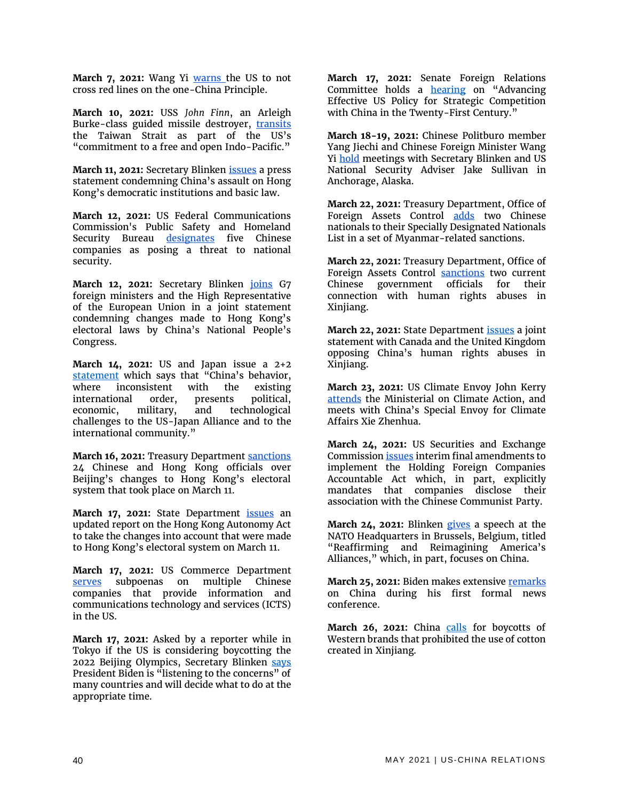March 7, 2021: Wang Yi **Warns** the US to not cross red lines on the one-China Principle.

**March 10, 2021:** USS *John Finn*, an Arleigh Burke-class guided missile destroyer, [transits](https://www.c7f.navy.mil/Media/News/Display/Article/2532377/7th-fleet-destroyer-transits-taiwan-strait/) the Taiwan Strait as part of the US's "commitment to a free and open Indo-Pacific."

**March 11, 2021:** Secretary Blinken [issues](https://www.state.gov/assault-on-democracy-in-hong-kong/) a press statement condemning China's assault on Hong Kong's democratic institutions and basic law.

**March 12, 2021:** US Federal Communications Commission's Public Safety and Homeland Security Bureau [designates](https://www.fcc.gov/document/fcc-releases-list-equipment-services-pose-security-threat) five Chinese companies as posing a threat to national security.

March 12, 2021: Secretary Blinken *[joins](https://www.state.gov/g7-statement-on-hong-kong-electoral-changes/)* G7 foreign ministers and the High Representative of the European Union in a joint statement condemning changes made to Hong Kong's electoral laws by China's National People's Congress.

**March 14, 2021:** US and Japan issue a 2+2 [statement](https://www.state.gov/u-s-japan-joint-press-statement/) which says that "China's behavior, where inconsistent with the existing international order, presents political, economic, military, and technological challenges to the US-Japan Alliance and to the international community."

**March 16, 2021: Treasury Department [sanctions](https://home.treasury.gov/policy-issues/financial-sanctions/recent-actions/20210317)** 24 Chinese and Hong Kong officials over Beijing's changes to Hong Kong's electoral system that took place on March 11.

March 17, 2021: State Department *[issues](https://www.state.gov/hong-kong-autonomy-act-update/)* an updated report on the Hong Kong Autonomy Act to take the changes into account that were made to Hong Kong's electoral system on March 11.

**March 17, 2021:** US Commerce Department [serves](https://www.commerce.gov/news/press-releases/2021/03/us-secretary-commerce-gina-raimondo-statement-actions-taken-under-icts) subpoenas on multiple Chinese companies that provide information and communications technology and services (ICTS) in the US.

**March 17, 2021:** Asked by a reporter while in Tokyo if the US is considering boycotting the 2022 Beijing Olympics, Secretary Blinken [says](https://www.washingtonexaminer.com/policy/defense-national-security/blinken-boycott-china-olympics) President Biden is "listening to the concerns" of many countries and will decide what to do at the appropriate time.

**March 17, 2021:** Senate Foreign Relations Committee holds a **[hearing](https://www.foreign.senate.gov/hearings/advancing-effective-us-policy-for-strategic-competition-with-china-in-the-twenty-first-century-031721)** on "Advancing Effective US Policy for Strategic Competition with China in the Twenty-First Century."

**March 18-19, 2021:** Chinese Politburo member Yang Jiechi and Chinese Foreign Minister Wang Yi [hold](https://www.state.gov/secretary-antony-j-blinken-national-security-advisor-jake-sullivan-chinese-director-of-the-office-of-the-central-commission-for-foreign-affairs-yang-jiechi-and-chinese-state-councilor-wang-yi-at-th/) meetings with Secretary Blinken and US National Security Adviser Jake Sullivan in Anchorage, Alaska.

**March 22, 2021:** Treasury Department, Office of Foreign Assets Control [adds](https://home.treasury.gov/policy-issues/financial-sanctions/recent-actions/20210322) two Chinese nationals to their Specially Designated Nationals List in a set of Myanmar-related sanctions.

**March 22, 2021:** Treasury Department, Office of Foreign Assets Control [sanctions](https://home.treasury.gov/news/press-releases/jy0070) two current Chinese government officials for their connection with human rights abuses in Xinjiang.

**March 22, 2021:** State Department [issues](https://www.state.gov/joint-statement-on-xinjiang/) a joint statement with Canada and the United Kingdom opposing China's human rights abuses in Xinjiang.

**March 23, 2021:** US Climate Envoy John Kerry [attends](https://www.wsj.com/articles/u-s-china-climate-envoys-to-meet-despite-frosty-alaska-talks-11616409414) the Ministerial on Climate Action, and meets with China's Special Envoy for Climate Affairs Xie Zhenhua.

**March 24, 2021:** US Securities and Exchange Commission *issues* interim final amendments to implement the Holding Foreign Companies Accountable Act which, in part, explicitly mandates that companies disclose their association with the Chinese Communist Party.

**March 24, 2021:** Blinken [gives](https://www.state.gov/reaffirming-and-reimagining-americas-alliances/) a speech at the NATO Headquarters in Brussels, Belgium, titled "Reaffirming and Reimagining America's Alliances," which, in part, focuses on China.

**March 25, 2021:** Biden makes extensiv[e remarks](https://www.whitehouse.gov/briefing-room/speeches-remarks/2021/03/25/remarks-by-president-biden-in-press-conference/) on China during his first formal news conference.

March 26, 2021: China [calls](https://www.bbc.com/news/world-asia-china-56533560) for boycotts of Western brands that prohibited the use of cotton created in Xinjiang.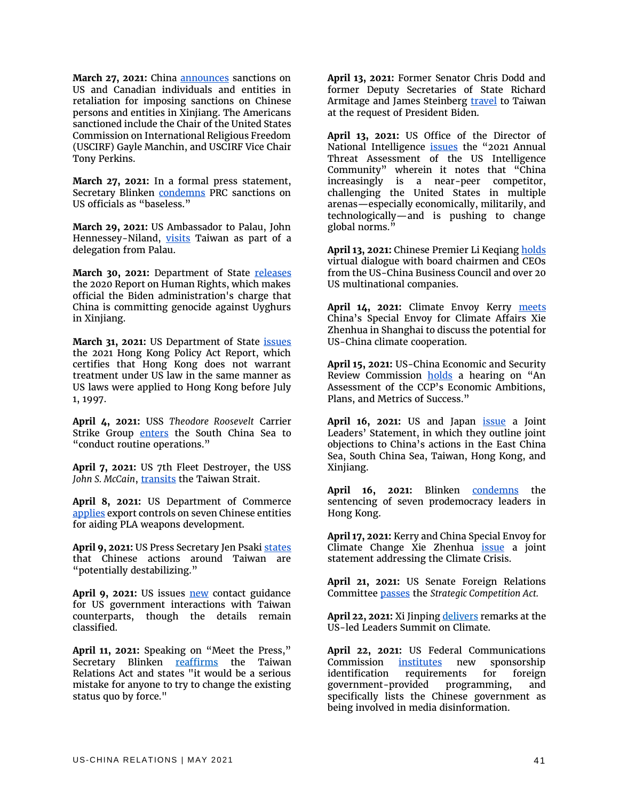March 27, 2021: China **announces** sanctions on US and Canadian individuals and entities in retaliation for imposing sanctions on Chinese persons and entities in Xinjiang. The Americans sanctioned include the Chair of the United States Commission on International Religious Freedom (USCIRF) Gayle Manchin, and USCIRF Vice Chair Tony Perkins.

**March 27, 2021:** In a formal press statement, Secretary Blinken [condemns](https://www.state.gov/prc-sanctions-on-u-s-officials/) PRC sanctions on US officials as "baseless."

**March 29, 2021:** US Ambassador to Palau, John Hennessey-Niland, [visits](https://www.ait.org.tw/pr-on-visit-president-palau-whipps-launch-travel-bubble/) Taiwan as part of a delegation from Palau.

**March 30, 2021:** Department of State [releases](https://www.state.gov/reports/2020-country-reports-on-human-rights-practices/china/) the 2020 Report on Human Rights, which makes official the Biden administration's charge that China is committing genocide against Uyghurs in Xinjiang.

**March 31, 2021:** US Department of State [issues](https://www.state.gov/2021-hong-kong-policy-act-report/) the 2021 Hong Kong Policy Act Report, which certifies that Hong Kong does not warrant treatment under US law in the same manner as US laws were applied to Hong Kong before July 1, 1997.

**April 4, 2021:** USS *Theodore Roosevelt* Carrier Strike Group [enters](https://www.cpf.navy.mil/news.aspx/130841) the South China Sea to "conduct routine operations."

**April 7, 2021:** US 7th Fleet Destroyer, the USS John S. McCain, [transits](https://www.c7f.navy.mil/Media/News/Display/Article/2563410/7th-fleet-destroyer-transits-taiwan-strait/) the Taiwan Strait.

**April 8, 2021:** US Department of Commerce [applies](https://public-inspection.federalregister.gov/2021-07400.pdf) export controls on seven Chinese entities for aiding PLA weapons development.

**April 9, 2021:** US Press Secretary Jen Psak[i states](https://www.whitehouse.gov/briefing-room/press-briefings/2021/04/09/press-briefing-by-press-secretary-jen-psaki-and-secretary-of-transportation-pete-buttigieg-april-9-2021/) that Chinese actions around Taiwan are "potentially destabilizing."

April 9, 2021: US issues **new** contact guidance for US government interactions with Taiwan counterparts, though the details remain classified.

**April 11, 2021:** Speaking on "Meet the Press," Secretary Blinken [reaffirms](https://www.state.gov/secretary-antony-j-blinken-with-chuck-todd-of-nbcs-meet-the-press/) the Taiwan Relations Act and states "it would be a serious mistake for anyone to try to change the existing status quo by force."

**April 13, 2021:** Former Senator Chris Dodd and former Deputy Secretaries of State Richard Armitage and James Steinberg **travel** to Taiwan at the request of President Biden.

**April 13, 2021:** US Office of the Director of National Intelligence [issues](https://www.dni.gov/index.php/newsroom/reports-publications/reports-publications-2021/item/2204-2021-annual-threat-assessment-of-the-u-s-intelligence-community) the "2021 Annual Threat Assessment of the US Intelligence Community" wherein it notes that "China increasingly is a near-peer competitor, challenging the United States in multiple arenas—especially economically, militarily, and technologically—and is pushing to change global norms."

April 13, 2021: Chinese Premier Li Keqian[g holds](https://www.fmprc.gov.cn/mfa_eng/zxxx_662805/t1868874.shtml) virtual dialogue with board chairmen and CEOs from the US-China Business Council and over 20 US multinational companies.

**April 14, 2021:** Climate Envoy Kerry [meets](https://www.state.gov/special-presidential-envoy-for-climate-john-kerry-travels-to-the-peoples-republic-of-china-and-the-republic-of-korea/) China's Special Envoy for Climate Affairs Xie Zhenhua in Shanghai to discuss the potential for US-China climate cooperation.

**April 15, 2021:** US-China Economic and Security Review Commission [holds](https://www.uscc.gov/hearings/assessment-ccps-economic-ambitions-plans-and-metrics-success) a hearing on "An Assessment of the CCP's Economic Ambitions, Plans, and Metrics of Success."

April 16, 2021: US and Japan *[issue](https://www.whitehouse.gov/briefing-room/statements-releases/2021/04/16/u-s-japan-joint-leaders-statement-u-s-japan-global-partnership-for-a-new-era/)* a Joint Leaders' Statement, in which they outline joint objections to China's actions in the East China Sea, South China Sea, Taiwan, Hong Kong, and Xinjiang.

April 16, 2021: Blinken [condemns](https://www.state.gov/sentencing-of-hong-kong-pro-democracy-activists-for-unlawful-assembly/) the sentencing of seven prodemocracy leaders in Hong Kong.

**April 17, 2021:** Kerry and China Special Envoy for Climate Change Xie Zhenhua [issue](https://www.state.gov/u-s-china-joint-statement-addressing-the-climate-crisis/) a joint statement addressing the Climate Crisis.

**April 21, 2021:** US Senate Foreign Relations Committee [passes](https://www.foreign.senate.gov/press/chair/release/menendez-risch-statement-on-committee-passage-of-comprehensive-bipartisan-china-bill) the *Strategic Competition Act.*

**April 22, 2021:** Xi Jinpin[g delivers](http://www.xinhuanet.com/english/2021-04/22/c_139899289.htm) remarks at the US-led Leaders Summit on Climate.

**April 22, 2021:** US Federal Communications Commission <u>[institutes](https://www.fcc.gov/document/fcc-enhances-transparency-foreign-government-sponsored-programming-0)</u> new sponsorship<br>identification requirements for foreign identification requirements for foreign government-provided programming, and specifically lists the Chinese government as being involved in media disinformation.